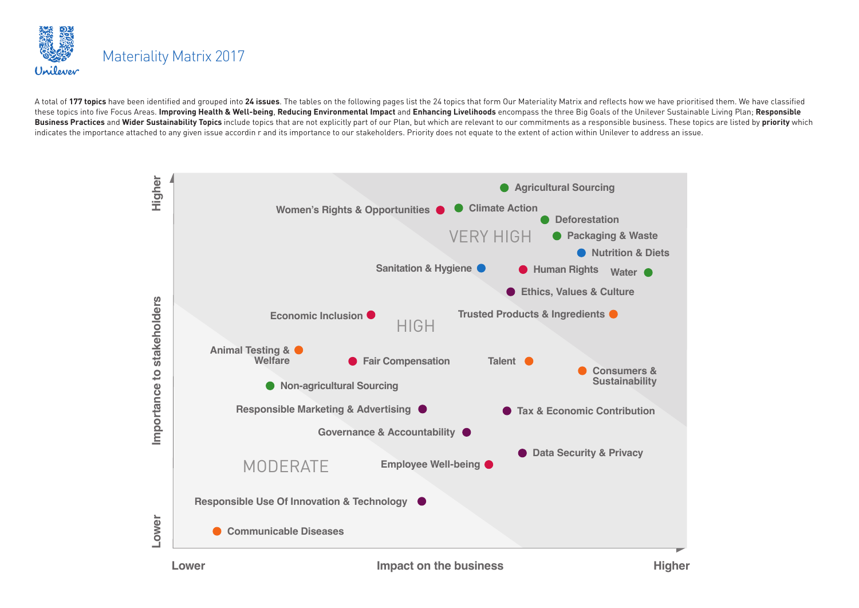

A total of 177 topics have been identified and grouped into 24 issues. The tables on the following pages list the 24 topics that form Our Materiality Matrix and reflects how we have prioritised them. We have classified these topics into five Focus Areas. Improving Health & Well-being, Reducing Environmental Impact and Enhancing Livelihoods encompass the three Big Goals of the Unilever Sustainable Living Plan; Responsible Business Practices and Wider Sustainability Topics include topics that are not explicitly part of our Plan, but which are relevant to our commitments as a responsible business. These topics are listed by priority which indicates the importance attached to any given issue accordin r and its importance to our stakeholders. Priority does not equate to the extent of action within Unilever to address an issue.

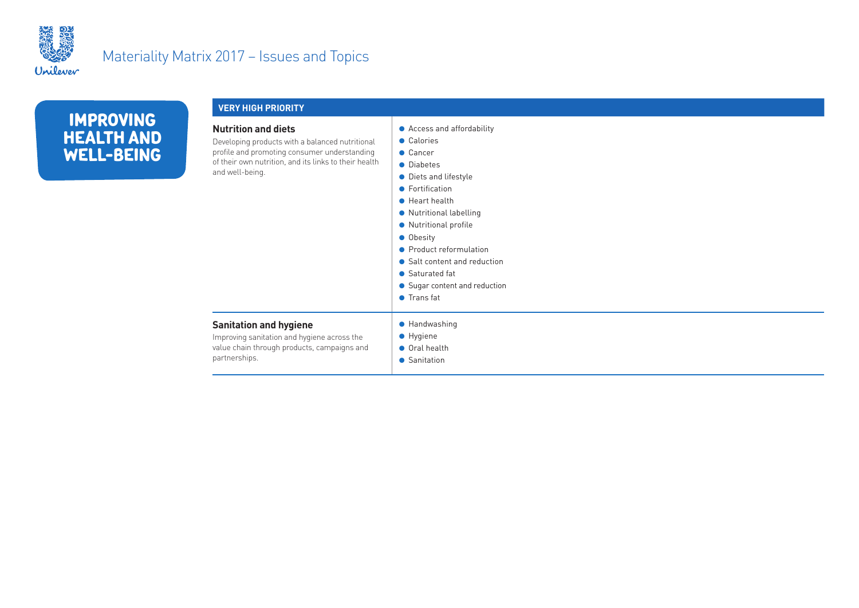

|                                                     | <b>VERY HIGH PRIORITY</b>                                                                                                                                                                                 |                                                                                                                                                                                                                                                                                                                                                     |  |
|-----------------------------------------------------|-----------------------------------------------------------------------------------------------------------------------------------------------------------------------------------------------------------|-----------------------------------------------------------------------------------------------------------------------------------------------------------------------------------------------------------------------------------------------------------------------------------------------------------------------------------------------------|--|
| <b>IMPROVING</b><br><b>HEALTH AND</b><br>WELL-BEING | <b>Nutrition and diets</b><br>Developing products with a balanced nutritional<br>profile and promoting consumer understanding<br>of their own nutrition, and its links to their health<br>and well-being. | • Access and affordability<br>• Calories<br>• Cancer<br>• Diabetes<br>• Diets and lifestyle<br>• Fortification<br>$\bullet$ Heart health<br>• Nutritional labelling<br>• Nutritional profile<br><b>Obesity</b><br>• Product reformulation<br>• Salt content and reduction<br>• Saturated fat<br>• Sugar content and reduction<br>$\bullet$ Transfat |  |
|                                                     | <b>Sanitation and hygiene</b><br>Improving sanitation and hygiene across the<br>value chain through products, campaigns and<br>partnerships.                                                              | • Handwashing<br>• Hygiene<br>● Oral health<br>• Sanitation                                                                                                                                                                                                                                                                                         |  |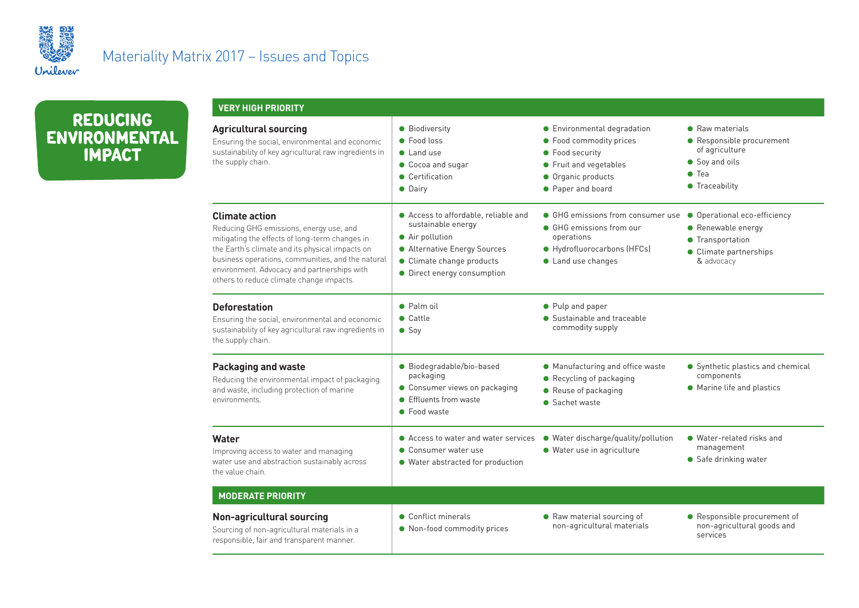

**REDUCING ENVIRONMENTAL IMPACT**

| <b>VERY HIGH PRIORITY</b>                                                                                                                                                                                                                                                                                             |                                                                                                                                                                           |                                                                                                                                                |                                                                                                                    |
|-----------------------------------------------------------------------------------------------------------------------------------------------------------------------------------------------------------------------------------------------------------------------------------------------------------------------|---------------------------------------------------------------------------------------------------------------------------------------------------------------------------|------------------------------------------------------------------------------------------------------------------------------------------------|--------------------------------------------------------------------------------------------------------------------|
| <b>Agricultural sourcing</b><br>Ensuring the social, environmental and economic<br>sustainability of key agricultural raw ingredients in<br>the supply chain.                                                                                                                                                         | • Biodiversity<br>• Food loss<br>$\bullet$ Land use<br>Cocoa and sugar<br>• Certification<br>• Dairv                                                                      | • Environmental degradation<br>• Food commodity prices<br>• Food security<br>• Fruit and vegetables<br>• Organic products<br>• Paper and board | • Raw materials<br>Responsible procurement<br>of agriculture<br>Soy and oils<br>Tea<br>$\bullet$<br>• Traceability |
| <b>Climate action</b><br>Reducing GHG emissions, energy use, and<br>mitigating the effects of long-term changes in<br>the Earth's climate and its physical impacts on<br>business operations, communities, and the natural<br>environment. Advocacy and partnerships with<br>others to reduce climate change impacts. | ● Access to affordable, reliable and<br>sustainable energy<br>• Air pollution<br>• Alternative Energy Sources<br>• Climate change products<br>• Direct energy consumption | • GHG emissions from consumer use<br>• GHG emissions from our<br>operations<br>● Hydrofluorocarbons (HFCs)<br>• Land use changes               | • Operational eco-efficiency<br>• Renewable energy<br>• Transportation<br>• Climate partnerships<br>& advocacy     |
| <b>Deforestation</b><br>Ensuring the social, environmental and economic<br>sustainability of key agricultural raw ingredients in<br>the supply chain.                                                                                                                                                                 | $\bullet$ Palm oil<br>$\bullet$ Cattle<br>$\bullet$ Soy                                                                                                                   | • Pulp and paper<br>• Sustainable and traceable<br>commodity supply                                                                            |                                                                                                                    |
| <b>Packaging and waste</b><br>Reducing the environmental impact of packaging<br>and waste, including protection of marine<br>environments.                                                                                                                                                                            | · Biodegradable/bio-based<br>packaging<br>• Consumer views on packaging<br>• Effluents from waste<br>• Food waste                                                         | • Manufacturing and office waste<br>• Recycling of packaging<br>• Reuse of packaging<br>• Sachet waste                                         | • Synthetic plastics and chemical<br>components<br>• Marine life and plastics                                      |
| Water<br>Improving access to water and managing<br>water use and abstraction sustainably across<br>the value chain.                                                                                                                                                                                                   | ● Access to water and water services<br>• Consumer water use<br>• Water abstracted for production                                                                         | · Water discharge/quality/pollution<br>· Water use in agriculture                                                                              | • Water-related risks and<br>management<br>Safe drinking water                                                     |
| <b>MODERATE PRIORITY</b>                                                                                                                                                                                                                                                                                              |                                                                                                                                                                           |                                                                                                                                                |                                                                                                                    |
| <b>Non-agricultural sourcing</b><br>Sourcing of non-agricultural materials in a<br>responsible, fair and transparent manner.                                                                                                                                                                                          | • Conflict minerals<br>• Non-food commodity prices                                                                                                                        | • Raw material sourcing of<br>non-agricultural materials                                                                                       | • Responsible procurement of<br>non-agricultural goods and<br>services                                             |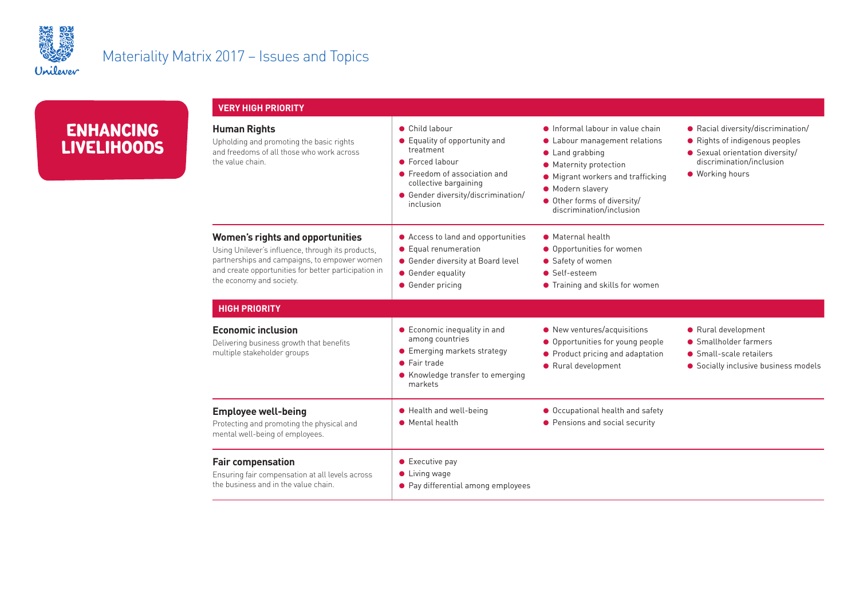

| <b>ENHANCING</b>   |  |
|--------------------|--|
| <b>LIVELIHOODS</b> |  |

| <b>VERY HIGH PRIORITY</b>                                                                                                                                                                                                        |                                                                                                                                                                                             |                                                                                                                                                                                                                                          |                                                                                                                                                      |
|----------------------------------------------------------------------------------------------------------------------------------------------------------------------------------------------------------------------------------|---------------------------------------------------------------------------------------------------------------------------------------------------------------------------------------------|------------------------------------------------------------------------------------------------------------------------------------------------------------------------------------------------------------------------------------------|------------------------------------------------------------------------------------------------------------------------------------------------------|
| <b>Human Rights</b><br>Upholding and promoting the basic rights<br>and freedoms of all those who work across<br>the value chain.                                                                                                 | • Child labour<br>• Equality of opportunity and<br>treatment<br>• Forced labour<br>• Freedom of association and<br>collective bargaining<br>• Gender diversity/discrimination/<br>inclusion | • Informal labour in value chain<br>• Labour management relations<br>$\bullet$ Land grabbing<br>• Maternity protection<br>• Migrant workers and trafficking<br>• Modern slavery<br>Other forms of diversity/<br>discrimination/inclusion | ● Racial diversity/discrimination/<br>Rights of indigenous peoples<br>• Sexual orientation diversity/<br>discrimination/inclusion<br>● Working hours |
| <b>Women's rights and opportunities</b><br>Using Unilever's influence, through its products,<br>partnerships and campaigns, to empower women<br>and create opportunities for better participation in<br>the economy and society. | ● Access to land and opportunities<br>• Equal renumeration<br>● Gender diversity at Board level<br>• Gender equality<br>• Gender pricing                                                    | • Maternal health<br>• Opportunities for women<br>• Safety of women<br>• Self-esteem<br>• Training and skills for women                                                                                                                  |                                                                                                                                                      |
| <b>HIGH PRIORITY</b>                                                                                                                                                                                                             |                                                                                                                                                                                             |                                                                                                                                                                                                                                          |                                                                                                                                                      |
| <b>Economic inclusion</b><br>Delivering business growth that benefits<br>multiple stakeholder groups                                                                                                                             | • Economic inequality in and<br>among countries<br>• Emerging markets strategy<br>• Fair trade<br>• Knowledge transfer to emerging<br>markets                                               | • New ventures/acquisitions<br>● Opportunities for young people<br>• Product pricing and adaptation<br>● Rural development                                                                                                               | ● Rural development<br>• Smallholder farmers<br>• Small-scale retailers<br>• Socially inclusive business models                                      |
| <b>Employee well-being</b><br>Protecting and promoting the physical and<br>mental well-being of employees.                                                                                                                       | ● Health and well-being<br>• Mental health                                                                                                                                                  | ● Occupational health and safety<br>● Pensions and social security                                                                                                                                                                       |                                                                                                                                                      |
| <b>Fair compensation</b><br>Ensuring fair compensation at all levels across<br>the business and in the value chain.                                                                                                              | $\bullet$ Executive pay<br>$\bullet$ Living wage<br>• Pay differential among employees                                                                                                      |                                                                                                                                                                                                                                          |                                                                                                                                                      |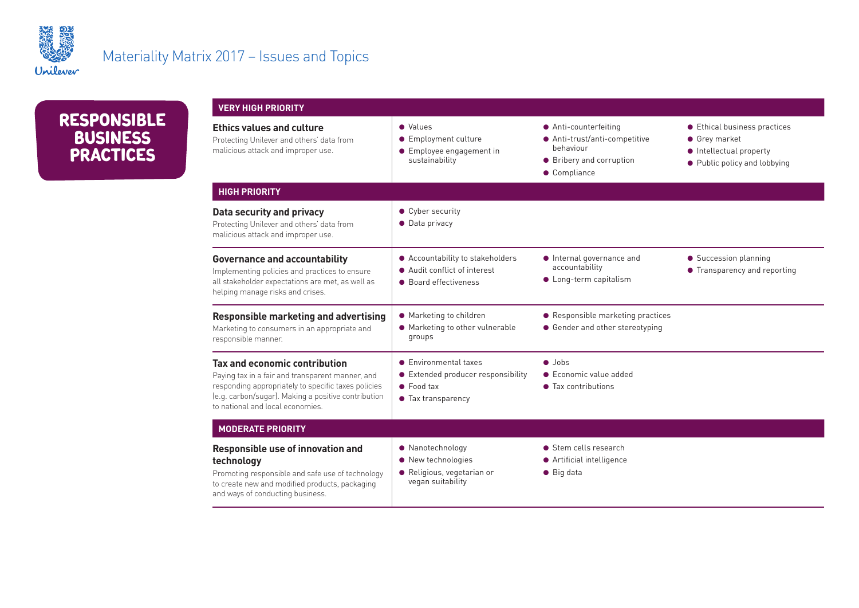



| <b>VERY HIGH PRIORITY</b>                                                                                                                                                                                                           |                                                                                                         |                                                                                                               |                                                                                                               |
|-------------------------------------------------------------------------------------------------------------------------------------------------------------------------------------------------------------------------------------|---------------------------------------------------------------------------------------------------------|---------------------------------------------------------------------------------------------------------------|---------------------------------------------------------------------------------------------------------------|
| <b>Ethics values and culture</b><br>Protecting Unilever and others' data from<br>malicious attack and improper use.                                                                                                                 | • Values<br>• Employment culture<br>• Employee engagement in<br>sustainability                          | ● Anti-counterfeiting<br>● Anti-trust/anti-competitive<br>behaviour<br>• Bribery and corruption<br>Compliance | ● Ethical business practices<br><b>Grey market</b><br>• Intellectual property<br>• Public policy and lobbying |
| <b>HIGH PRIORITY</b>                                                                                                                                                                                                                |                                                                                                         |                                                                                                               |                                                                                                               |
| Data security and privacy<br>Protecting Unilever and others' data from<br>malicious attack and improper use.                                                                                                                        | • Cyber security<br>• Data privacy                                                                      |                                                                                                               |                                                                                                               |
| <b>Governance and accountability</b><br>Implementing policies and practices to ensure<br>all stakeholder expectations are met, as well as<br>helping manage risks and crises.                                                       | ● Accountability to stakeholders<br>● Audit conflict of interest<br>• Board effectiveness               | Internal governance and<br>accountability<br>• Long-term capitalism                                           | • Succession planning<br>• Transparency and reporting                                                         |
| <b>Responsible marketing and advertising</b><br>Marketing to consumers in an appropriate and<br>responsible manner.                                                                                                                 | • Marketing to children<br>• Marketing to other vulnerable<br>groups                                    | • Responsible marketing practices<br>• Gender and other stereotyping                                          |                                                                                                               |
| Tax and economic contribution<br>Paying tax in a fair and transparent manner, and<br>responding appropriately to specific taxes policies<br>(e.g. carbon/sugar). Making a positive contribution<br>to national and local economies. | • Environmental taxes<br>● Extended producer responsibility<br>$\bullet$ Food tax<br>• Tax transparency | $\bullet$ Jobs<br>• Economic value added<br>• Tax contributions                                               |                                                                                                               |
| <b>MODERATE PRIORITY</b>                                                                                                                                                                                                            |                                                                                                         |                                                                                                               |                                                                                                               |
| <b>Responsible use of innovation and</b><br>technology<br>Promoting responsible and safe use of technology<br>to create new and modified products, packaging<br>and ways of conducting business.                                    | • Nanotechnology<br>• New technologies<br>· Religious, vegetarian or<br>vegan suitability               | • Stem cells research<br>● Artificial intelligence<br>$\bullet$ Big data                                      |                                                                                                               |